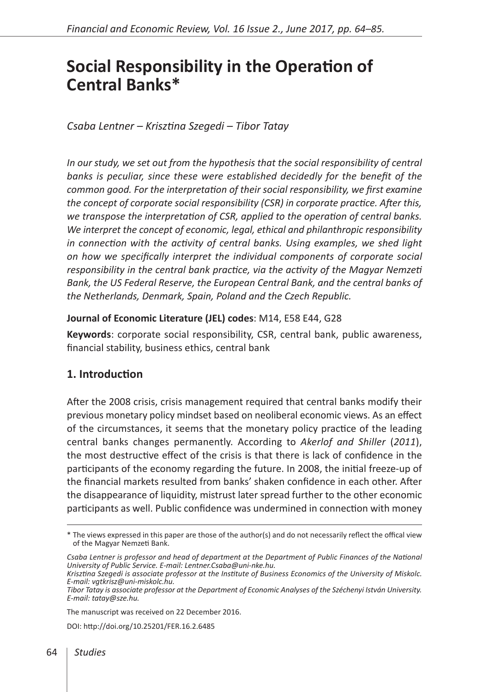# **Social Responsibility in the Operation of Central Banks\***

*Csaba Lentner – Krisztina Szegedi – Tibor Tatay*

*In our study, we set out from the hypothesis that the social responsibility of central*  banks is peculiar, since these were established decidedly for the benefit of the *common good. For the interpretation of their social responsibility, we first examine the concept of corporate social responsibility (CSR) in corporate practice. After this, we transpose the interpretation of CSR, applied to the operation of central banks. We interpret the concept of economic, legal, ethical and philanthropic responsibility in connection with the activity of central banks. Using examples, we shed light on how we specifically interpret the individual components of corporate social responsibility in the central bank practice, via the activity of the Magyar Nemzeti Bank, the US Federal Reserve, the European Central Bank, and the central banks of the Netherlands, Denmark, Spain, Poland and the Czech Republic.*

#### **Journal of Economic Literature (JEL) codes**: M14, E58 E44, G28

**Keywords**: corporate social responsibility, CSR, central bank, public awareness, financial stability, business ethics, central bank

## **1. Introduction**

After the 2008 crisis, crisis management required that central banks modify their previous monetary policy mindset based on neoliberal economic views. As an effect of the circumstances, it seems that the monetary policy practice of the leading central banks changes permanently. According to *Akerlof and Shiller* (*2011*), the most destructive effect of the crisis is that there is lack of confidence in the participants of the economy regarding the future. In 2008, the initial freeze-up of the financial markets resulted from banks' shaken confidence in each other. After the disappearance of liquidity, mistrust later spread further to the other economic participants as well. Public confidence was undermined in connection with money

The manuscript was received on 22 December 2016.

DOI:<http://doi.org/10.25201/FER.16.2.6485>

<sup>\*</sup> The views expressed in this paper are those of the author(s) and do not necessarily reflect the offical view of the Magyar Nemzeti Bank.

Csaba Lentner is professor and head of department at the Department of Public Finances of the National *University of Public Service. E-mail: Lentner.Csaba@uni-nke.hu.*

*Krisztina Szegedi is associate professor at the Institute of Business Economics of the University of Miskolc. E-mail: vgtkrisz@uni-miskolc.hu.*

*Tibor Tatay is associate professor at the Department of Economic Analyses of the Széchenyi István University. E-mail: tatay@sze.hu.*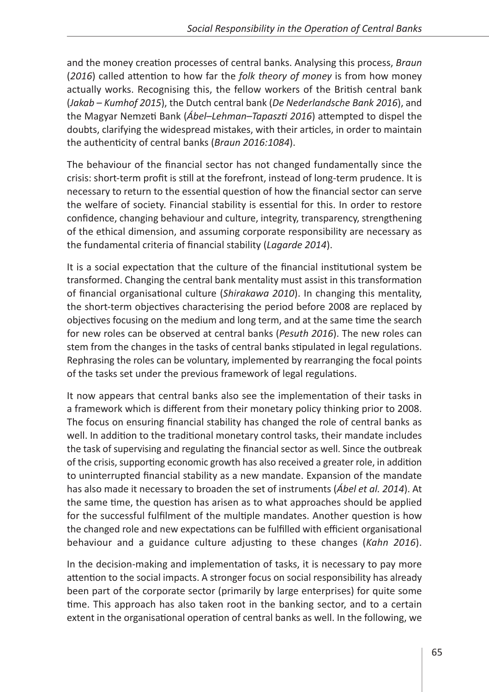and the money creation processes of central banks. Analysing this process, *Braun*  (*2016*) called attention to how far the *folk theory of money* is from how money actually works. Recognising this, the fellow workers of the British central bank (*Jakab – Kumhof 2015*), the Dutch central bank (*De Nederlandsche Bank 2016*), and the Magyar Nemzeti Bank (*Ábel–Lehman–Tapaszti 2016*) attempted to dispel the doubts, clarifying the widespread mistakes, with their articles, in order to maintain the authenticity of central banks (*Braun 2016:1084*).

The behaviour of the financial sector has not changed fundamentally since the crisis: short-term profit is still at the forefront, instead of long-term prudence. It is necessary to return to the essential question of how the financial sector can serve the welfare of society. Financial stability is essential for this. In order to restore confidence, changing behaviour and culture, integrity, transparency, strengthening of the ethical dimension, and assuming corporate responsibility are necessary as the fundamental criteria of financial stability (*Lagarde 2014*).

It is a social expectation that the culture of the financial institutional system be transformed. Changing the central bank mentality must assist in this transformation of financial organisational culture (*Shirakawa 2010*). In changing this mentality, the short-term objectives characterising the period before 2008 are replaced by objectives focusing on the medium and long term, and at the same time the search for new roles can be observed at central banks (*Pesuth 2016*). The new roles can stem from the changes in the tasks of central banks stipulated in legal regulations. Rephrasing the roles can be voluntary, implemented by rearranging the focal points of the tasks set under the previous framework of legal regulations.

It now appears that central banks also see the implementation of their tasks in a framework which is different from their monetary policy thinking prior to 2008. The focus on ensuring financial stability has changed the role of central banks as well. In addition to the traditional monetary control tasks, their mandate includes the task of supervising and regulating the financial sector as well. Since the outbreak of the crisis, supporting economic growth has also received a greater role, in addition to uninterrupted financial stability as a new mandate. Expansion of the mandate has also made it necessary to broaden the set of instruments (*Ábel et al. 2014*). At the same time, the question has arisen as to what approaches should be applied for the successful fulfilment of the multiple mandates. Another question is how the changed role and new expectations can be fulfilled with efficient organisational behaviour and a guidance culture adjusting to these changes (*Kahn 2016*).

In the decision-making and implementation of tasks, it is necessary to pay more attention to the social impacts. A stronger focus on social responsibility has already been part of the corporate sector (primarily by large enterprises) for quite some time. This approach has also taken root in the banking sector, and to a certain extent in the organisational operation of central banks as well. In the following, we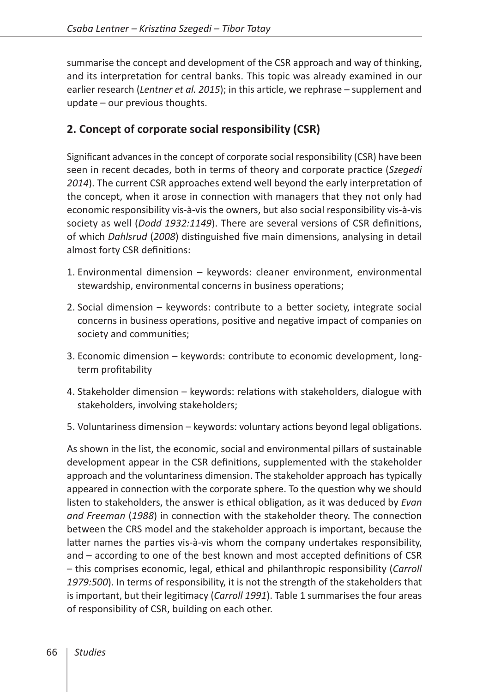summarise the concept and development of the CSR approach and way of thinking, and its interpretation for central banks. This topic was already examined in our earlier research (*Lentner et al. 2015*); in this article, we rephrase – supplement and update – our previous thoughts.

# **2. Concept of corporate social responsibility (CSR)**

Significant advances in the concept of corporate social responsibility (CSR) have been seen in recent decades, both in terms of theory and corporate practice (*Szegedi 2014*). The current CSR approaches extend well beyond the early interpretation of the concept, when it arose in connection with managers that they not only had economic responsibility vis-à-vis the owners, but also social responsibility vis-à-vis society as well (*Dodd 1932:1149*). There are several versions of CSR definitions, of which *Dahlsrud* (*2008*) distinguished five main dimensions, analysing in detail almost forty CSR definitions:

- 1. Environmental dimension keywords: cleaner environment, environmental stewardship, environmental concerns in business operations;
- 2. Social dimension keywords: contribute to a better society, integrate social concerns in business operations, positive and negative impact of companies on society and communities;
- 3. Economic dimension keywords: contribute to economic development, longterm profitability
- 4. Stakeholder dimension keywords: relations with stakeholders, dialogue with stakeholders, involving stakeholders;
- 5. Voluntariness dimension keywords: voluntary actions beyond legal obligations.

As shown in the list, the economic, social and environmental pillars of sustainable development appear in the CSR definitions, supplemented with the stakeholder approach and the voluntariness dimension. The stakeholder approach has typically appeared in connection with the corporate sphere. To the question why we should listen to stakeholders, the answer is ethical obligation, as it was deduced by *Evan and Freeman* (*1988*) in connection with the stakeholder theory. The connection between the CRS model and the stakeholder approach is important, because the latter names the parties vis-à-vis whom the company undertakes responsibility, and – according to one of the best known and most accepted definitions of CSR – this comprises economic, legal, ethical and philanthropic responsibility (*Carroll 1979:500*). In terms of responsibility, it is not the strength of the stakeholders that is important, but their legitimacy (*Carroll 1991*). Table 1 summarises the four areas of responsibility of CSR, building on each other.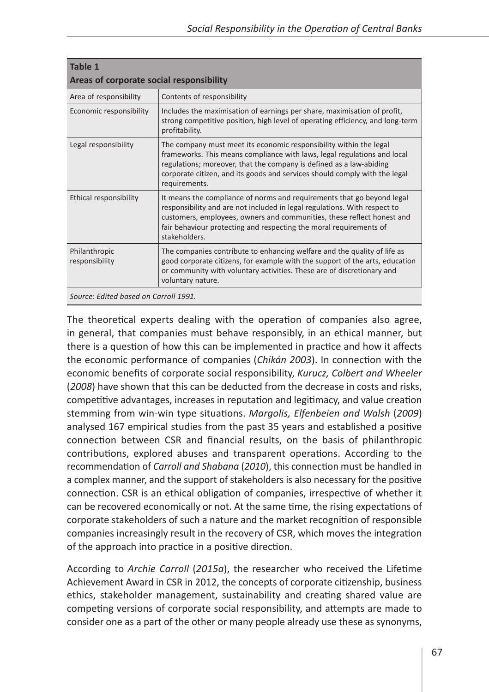| Table 1<br>Areas of corporate social responsibility |                                                                                                                                                                                                                                                                                                                      |  |  |  |
|-----------------------------------------------------|----------------------------------------------------------------------------------------------------------------------------------------------------------------------------------------------------------------------------------------------------------------------------------------------------------------------|--|--|--|
| Area of responsibility                              | Contents of responsibility                                                                                                                                                                                                                                                                                           |  |  |  |
| Economic responsibility                             | Includes the maximisation of earnings per share, maximisation of profit,<br>strong competitive position, high level of operating efficiency, and long-term<br>profitability.                                                                                                                                         |  |  |  |
| Legal responsibility                                | The company must meet its economic responsibility within the legal<br>frameworks. This means compliance with laws, legal regulations and local<br>regulations; moreover, that the company is defined as a law-abiding<br>corporate citizen, and its goods and services should comply with the legal<br>requirements. |  |  |  |
| Ethical responsibility                              | It means the compliance of norms and requirements that go beyond legal<br>responsibility and are not included in legal regulations. With respect to<br>customers, employees, owners and communities, these reflect honest and<br>fair behaviour protecting and respecting the moral requirements of<br>stakeholders. |  |  |  |
| Philanthropic<br>responsibility                     | The companies contribute to enhancing welfare and the quality of life as<br>good corporate citizens, for example with the support of the arts, education<br>or community with voluntary activities. These are of discretionary and<br>voluntary nature.                                                              |  |  |  |
| Source: Edited based on Carroll 1991.               |                                                                                                                                                                                                                                                                                                                      |  |  |  |

The theoretical experts dealing with the operation of companies also agree, in general, that companies must behave responsibly, in an ethical manner, but there is a question of how this can be implemented in practice and how it affects the economic performance of companies (*Chikán 2003*). In connection with the economic benefits of corporate social responsibility, *Kurucz, Colbert and Wheeler*  (*2008*) have shown that this can be deducted from the decrease in costs and risks, competitive advantages, increases in reputation and legitimacy, and value creation stemming from win-win type situations. *Margolis, Elfenbeien and Walsh* (*2009*) analysed 167 empirical studies from the past 35 years and established a positive connection between CSR and financial results, on the basis of philanthropic contributions, explored abuses and transparent operations. According to the recommendation of *Carroll and Shabana* (*2010*), this connection must be handled in a complex manner, and the support of stakeholders is also necessary for the positive connection. CSR is an ethical obligation of companies, irrespective of whether it can be recovered economically or not. At the same time, the rising expectations of corporate stakeholders of such a nature and the market recognition of responsible companies increasingly result in the recovery of CSR, which moves the integration of the approach into practice in a positive direction.

According to *Archie Carroll* (*2015a*), the researcher who received the Lifetime Achievement Award in CSR in 2012, the concepts of corporate citizenship, business ethics, stakeholder management, sustainability and creating shared value are competing versions of corporate social responsibility, and attempts are made to consider one as a part of the other or many people already use these as synonyms,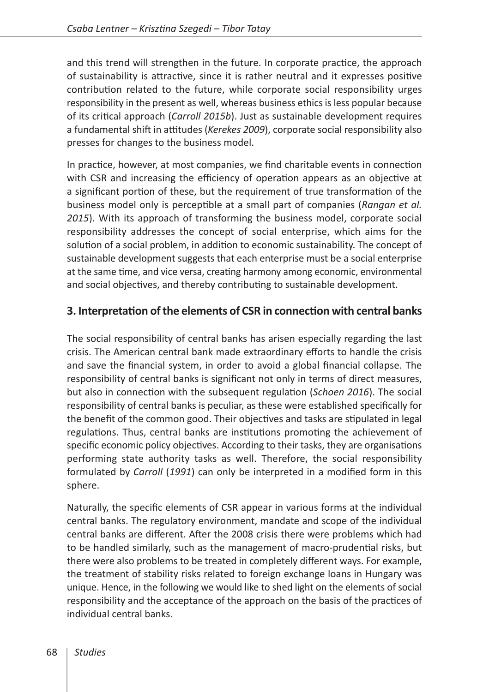and this trend will strengthen in the future. In corporate practice, the approach of sustainability is attractive, since it is rather neutral and it expresses positive contribution related to the future, while corporate social responsibility urges responsibility in the present as well, whereas business ethics is less popular because of its critical approach (*Carroll 2015b*). Just as sustainable development requires a fundamental shift in attitudes (*Kerekes 2009*), corporate social responsibility also presses for changes to the business model.

In practice, however, at most companies, we find charitable events in connection with CSR and increasing the efficiency of operation appears as an objective at a significant portion of these, but the requirement of true transformation of the business model only is perceptible at a small part of companies (*Rangan et al. 2015*). With its approach of transforming the business model, corporate social responsibility addresses the concept of social enterprise, which aims for the solution of a social problem, in addition to economic sustainability. The concept of sustainable development suggests that each enterprise must be a social enterprise at the same time, and vice versa, creating harmony among economic, environmental and social objectives, and thereby contributing to sustainable development.

## **3. Interpretation of the elements of CSR in connection with central banks**

The social responsibility of central banks has arisen especially regarding the last crisis. The American central bank made extraordinary efforts to handle the crisis and save the financial system, in order to avoid a global financial collapse. The responsibility of central banks is significant not only in terms of direct measures, but also in connection with the subsequent regulation (*Schoen 2016*). The social responsibility of central banks is peculiar, as these were established specifically for the benefit of the common good. Their objectives and tasks are stipulated in legal regulations. Thus, central banks are institutions promoting the achievement of specific economic policy objectives. According to their tasks, they are organisations performing state authority tasks as well. Therefore, the social responsibility formulated by *Carroll* (*1991*) can only be interpreted in a modified form in this sphere.

Naturally, the specific elements of CSR appear in various forms at the individual central banks. The regulatory environment, mandate and scope of the individual central banks are different. After the 2008 crisis there were problems which had to be handled similarly, such as the management of macro-prudential risks, but there were also problems to be treated in completely different ways. For example, the treatment of stability risks related to foreign exchange loans in Hungary was unique. Hence, in the following we would like to shed light on the elements of social responsibility and the acceptance of the approach on the basis of the practices of individual central banks.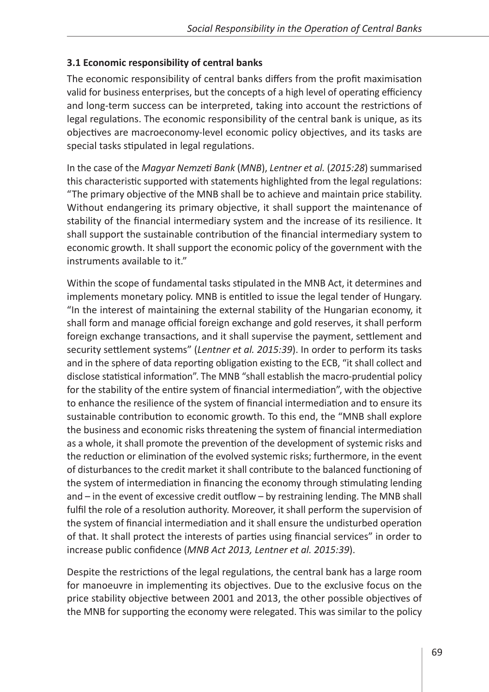## **3.1 Economic responsibility of central banks**

The economic responsibility of central banks differs from the profit maximisation valid for business enterprises, but the concepts of a high level of operating efficiency and long-term success can be interpreted, taking into account the restrictions of legal regulations. The economic responsibility of the central bank is unique, as its objectives are macroeconomy-level economic policy objectives, and its tasks are special tasks stipulated in legal regulations.

In the case of the *Magyar Nemzeti Bank* (*MNB*), *Lentner et al.* (*2015:28*) summarised this characteristic supported with statements highlighted from the legal regulations: "The primary objective of the MNB shall be to achieve and maintain price stability. Without endangering its primary objective, it shall support the maintenance of stability of the financial intermediary system and the increase of its resilience. It shall support the sustainable contribution of the financial intermediary system to economic growth. It shall support the economic policy of the government with the instruments available to it."

Within the scope of fundamental tasks stipulated in the MNB Act, it determines and implements monetary policy. MNB is entitled to issue the legal tender of Hungary. "In the interest of maintaining the external stability of the Hungarian economy, it shall form and manage official foreign exchange and gold reserves, it shall perform foreign exchange transactions, and it shall supervise the payment, settlement and security settlement systems" (*Lentner et al. 2015:39*). In order to perform its tasks and in the sphere of data reporting obligation existing to the ECB, "it shall collect and disclose statistical information". The MNB "shall establish the macro-prudential policy for the stability of the entire system of financial intermediation", with the objective to enhance the resilience of the system of financial intermediation and to ensure its sustainable contribution to economic growth. To this end, the "MNB shall explore the business and economic risks threatening the system of financial intermediation as a whole, it shall promote the prevention of the development of systemic risks and the reduction or elimination of the evolved systemic risks; furthermore, in the event of disturbances to the credit market it shall contribute to the balanced functioning of the system of intermediation in financing the economy through stimulating lending and – in the event of excessive credit outflow – by restraining lending. The MNB shall fulfil the role of a resolution authority. Moreover, it shall perform the supervision of the system of financial intermediation and it shall ensure the undisturbed operation of that. It shall protect the interests of parties using financial services" in order to increase public confidence (*MNB Act 2013, Lentner et al. 2015:39*).

Despite the restrictions of the legal regulations, the central bank has a large room for manoeuvre in implementing its objectives. Due to the exclusive focus on the price stability objective between 2001 and 2013, the other possible objectives of the MNB for supporting the economy were relegated. This was similar to the policy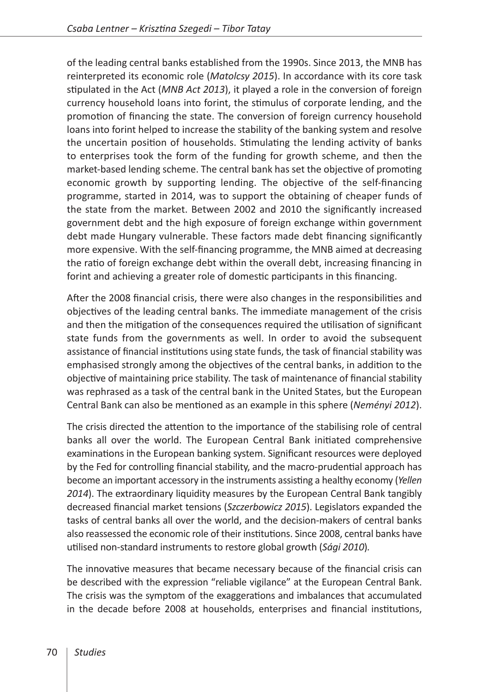of the leading central banks established from the 1990s. Since 2013, the MNB has reinterpreted its economic role (*Matolcsy 2015*). In accordance with its core task stipulated in the Act (*MNB Act 2013*), it played a role in the conversion of foreign currency household loans into forint, the stimulus of corporate lending, and the promotion of financing the state. The conversion of foreign currency household loans into forint helped to increase the stability of the banking system and resolve the uncertain position of households. Stimulating the lending activity of banks to enterprises took the form of the funding for growth scheme, and then the market-based lending scheme. The central bank has set the objective of promoting economic growth by supporting lending. The objective of the self-financing programme, started in 2014, was to support the obtaining of cheaper funds of the state from the market. Between 2002 and 2010 the significantly increased government debt and the high exposure of foreign exchange within government debt made Hungary vulnerable. These factors made debt financing significantly more expensive. With the self-financing programme, the MNB aimed at decreasing the ratio of foreign exchange debt within the overall debt, increasing financing in forint and achieving a greater role of domestic participants in this financing.

After the 2008 financial crisis, there were also changes in the responsibilities and objectives of the leading central banks. The immediate management of the crisis and then the mitigation of the consequences required the utilisation of significant state funds from the governments as well. In order to avoid the subsequent assistance of financial institutions using state funds, the task of financial stability was emphasised strongly among the objectives of the central banks, in addition to the objective of maintaining price stability. The task of maintenance of financial stability was rephrased as a task of the central bank in the United States, but the European Central Bank can also be mentioned as an example in this sphere (*Neményi 2012*).

The crisis directed the attention to the importance of the stabilising role of central banks all over the world. The European Central Bank initiated comprehensive examinations in the European banking system. Significant resources were deployed by the Fed for controlling financial stability, and the macro-prudential approach has become an important accessory in the instruments assisting a healthy economy (*Yellen 2014*). The extraordinary liquidity measures by the European Central Bank tangibly decreased financial market tensions (*Szczerbowicz 2015*). Legislators expanded the tasks of central banks all over the world, and the decision-makers of central banks also reassessed the economic role of their institutions. Since 2008, central banks have utilised non-standard instruments to restore global growth (*Sági 2010*)*.*

The innovative measures that became necessary because of the financial crisis can be described with the expression "reliable vigilance" at the European Central Bank. The crisis was the symptom of the exaggerations and imbalances that accumulated in the decade before 2008 at households, enterprises and financial institutions,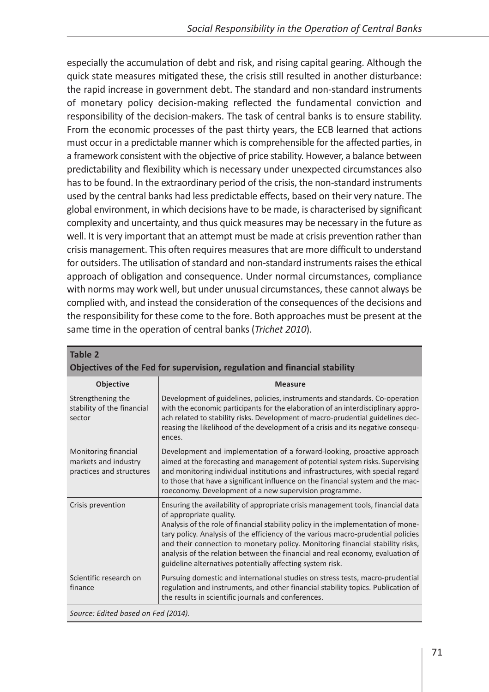especially the accumulation of debt and risk, and rising capital gearing. Although the quick state measures mitigated these, the crisis still resulted in another disturbance: the rapid increase in government debt. The standard and non-standard instruments of monetary policy decision-making reflected the fundamental conviction and responsibility of the decision-makers. The task of central banks is to ensure stability. From the economic processes of the past thirty years, the ECB learned that actions must occur in a predictable manner which is comprehensible for the affected parties, in a framework consistent with the objective of price stability. However, a balance between predictability and flexibility which is necessary under unexpected circumstances also has to be found. In the extraordinary period of the crisis, the non-standard instruments used by the central banks had less predictable effects, based on their very nature. The global environment, in which decisions have to be made, is characterised by significant complexity and uncertainty, and thus quick measures may be necessary in the future as well. It is very important that an attempt must be made at crisis prevention rather than crisis management. This often requires measures that are more difficult to understand for outsiders. The utilisation of standard and non-standard instruments raises the ethical approach of obligation and consequence. Under normal circumstances, compliance with norms may work well, but under unusual circumstances, these cannot always be complied with, and instead the consideration of the consequences of the decisions and the responsibility for these come to the fore. Both approaches must be present at the same time in the operation of central banks (*Trichet 2010*).

| Objectives of the Fed for supervision, regulation and financial stability                                                                                                                                                                                                                                                                                                                                                                                                                                             |  |  |  |
|-----------------------------------------------------------------------------------------------------------------------------------------------------------------------------------------------------------------------------------------------------------------------------------------------------------------------------------------------------------------------------------------------------------------------------------------------------------------------------------------------------------------------|--|--|--|
| <b>Measure</b>                                                                                                                                                                                                                                                                                                                                                                                                                                                                                                        |  |  |  |
| Development of guidelines, policies, instruments and standards. Co-operation<br>with the economic participants for the elaboration of an interdisciplinary appro-<br>ach related to stability risks. Development of macro-prudential guidelines dec-<br>reasing the likelihood of the development of a crisis and its negative consequ-<br>ences.                                                                                                                                                                     |  |  |  |
| Development and implementation of a forward-looking, proactive approach<br>aimed at the forecasting and management of potential system risks. Supervising<br>and monitoring individual institutions and infrastructures, with special regard<br>to those that have a significant influence on the financial system and the mac-<br>roeconomy. Development of a new supervision programme.                                                                                                                             |  |  |  |
| Ensuring the availability of appropriate crisis management tools, financial data<br>of appropriate quality.<br>Analysis of the role of financial stability policy in the implementation of mone-<br>tary policy. Analysis of the efficiency of the various macro-prudential policies<br>and their connection to monetary policy. Monitoring financial stability risks,<br>analysis of the relation between the financial and real economy, evaluation of<br>guideline alternatives potentially affecting system risk. |  |  |  |
| Pursuing domestic and international studies on stress tests, macro-prudential<br>regulation and instruments, and other financial stability topics. Publication of<br>the results in scientific journals and conferences.                                                                                                                                                                                                                                                                                              |  |  |  |
|                                                                                                                                                                                                                                                                                                                                                                                                                                                                                                                       |  |  |  |

| 1981C &                                                                   |  |  |
|---------------------------------------------------------------------------|--|--|
| Objectives of the Fed for supervision, regulation and financial stability |  |  |

*Source: Edited based on Fed (2014).*

**Table 2**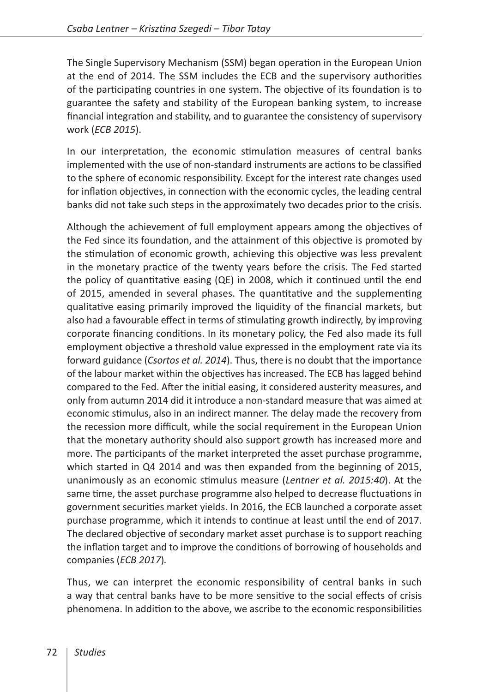The Single Supervisory Mechanism (SSM) began operation in the European Union at the end of 2014. The SSM includes the ECB and the supervisory authorities of the participating countries in one system. The objective of its foundation is to guarantee the safety and stability of the European banking system, to increase financial integration and stability, and to guarantee the consistency of supervisory work (*ECB 2015*).

In our interpretation, the economic stimulation measures of central banks implemented with the use of non-standard instruments are actions to be classified to the sphere of economic responsibility. Except for the interest rate changes used for inflation objectives, in connection with the economic cycles, the leading central banks did not take such steps in the approximately two decades prior to the crisis.

Although the achievement of full employment appears among the objectives of the Fed since its foundation, and the attainment of this objective is promoted by the stimulation of economic growth, achieving this objective was less prevalent in the monetary practice of the twenty years before the crisis. The Fed started the policy of quantitative easing (QE) in 2008, which it continued until the end of 2015, amended in several phases. The quantitative and the supplementing qualitative easing primarily improved the liquidity of the financial markets, but also had a favourable effect in terms of stimulating growth indirectly, by improving corporate financing conditions. In its monetary policy, the Fed also made its full employment objective a threshold value expressed in the employment rate via its forward guidance (*Csortos et al. 2014*). Thus, there is no doubt that the importance of the labour market within the objectives has increased. The ECB has lagged behind compared to the Fed. After the initial easing, it considered austerity measures, and only from autumn 2014 did it introduce a non-standard measure that was aimed at economic stimulus, also in an indirect manner. The delay made the recovery from the recession more difficult, while the social requirement in the European Union that the monetary authority should also support growth has increased more and more. The participants of the market interpreted the asset purchase programme, which started in Q4 2014 and was then expanded from the beginning of 2015, unanimously as an economic stimulus measure (*Lentner et al. 2015:40*). At the same time, the asset purchase programme also helped to decrease fluctuations in government securities market yields. In 2016, the ECB launched a corporate asset purchase programme, which it intends to continue at least until the end of 2017. The declared objective of secondary market asset purchase is to support reaching the inflation target and to improve the conditions of borrowing of households and companies (*ECB 2017*)*.*

Thus, we can interpret the economic responsibility of central banks in such a way that central banks have to be more sensitive to the social effects of crisis phenomena. In addition to the above, we ascribe to the economic responsibilities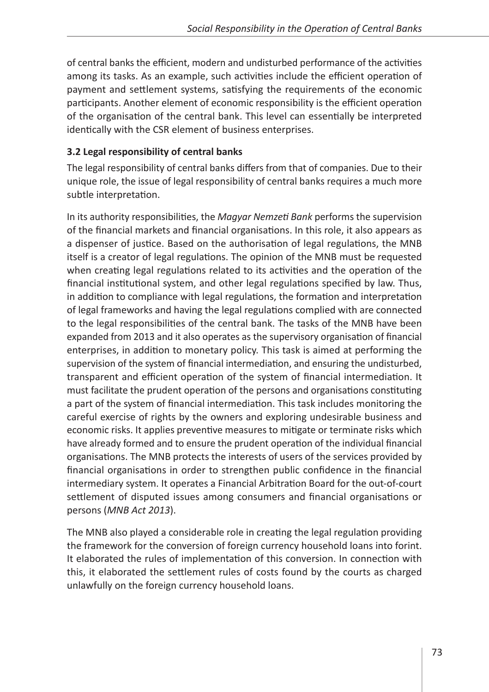of central banks the efficient, modern and undisturbed performance of the activities among its tasks. As an example, such activities include the efficient operation of payment and settlement systems, satisfying the requirements of the economic participants. Another element of economic responsibility is the efficient operation of the organisation of the central bank. This level can essentially be interpreted identically with the CSR element of business enterprises.

### **3.2 Legal responsibility of central banks**

The legal responsibility of central banks differs from that of companies. Due to their unique role, the issue of legal responsibility of central banks requires a much more subtle interpretation.

In its authority responsibilities, the *Magyar Nemzeti Bank* performs the supervision of the financial markets and financial organisations. In this role, it also appears as a dispenser of justice. Based on the authorisation of legal regulations, the MNB itself is a creator of legal regulations. The opinion of the MNB must be requested when creating legal regulations related to its activities and the operation of the financial institutional system, and other legal regulations specified by law. Thus, in addition to compliance with legal regulations, the formation and interpretation of legal frameworks and having the legal regulations complied with are connected to the legal responsibilities of the central bank. The tasks of the MNB have been expanded from 2013 and it also operates as the supervisory organisation of financial enterprises, in addition to monetary policy. This task is aimed at performing the supervision of the system of financial intermediation, and ensuring the undisturbed, transparent and efficient operation of the system of financial intermediation. It must facilitate the prudent operation of the persons and organisations constituting a part of the system of financial intermediation. This task includes monitoring the careful exercise of rights by the owners and exploring undesirable business and economic risks. It applies preventive measures to mitigate or terminate risks which have already formed and to ensure the prudent operation of the individual financial organisations. The MNB protects the interests of users of the services provided by financial organisations in order to strengthen public confidence in the financial intermediary system. It operates a Financial Arbitration Board for the out-of-court settlement of disputed issues among consumers and financial organisations or persons (*MNB Act 2013*).

The MNB also played a considerable role in creating the legal regulation providing the framework for the conversion of foreign currency household loans into forint. It elaborated the rules of implementation of this conversion. In connection with this, it elaborated the settlement rules of costs found by the courts as charged unlawfully on the foreign currency household loans.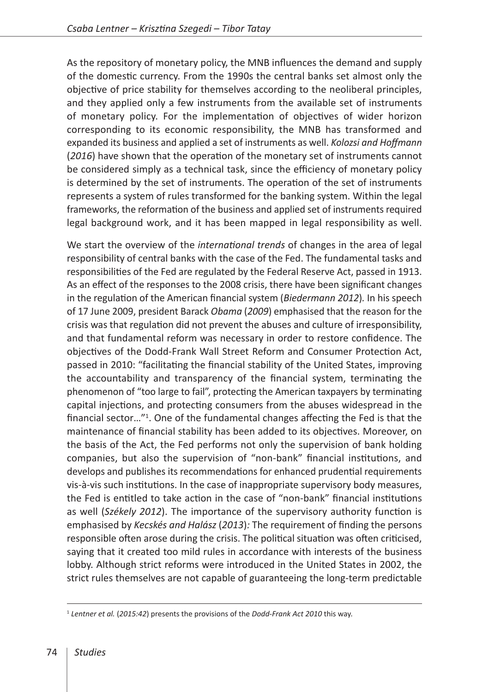As the repository of monetary policy, the MNB influences the demand and supply of the domestic currency. From the 1990s the central banks set almost only the objective of price stability for themselves according to the neoliberal principles, and they applied only a few instruments from the available set of instruments of monetary policy. For the implementation of objectives of wider horizon corresponding to its economic responsibility, the MNB has transformed and expanded its business and applied a set of instruments as well. *Kolozsi and Hoffmann*  (*2016*) have shown that the operation of the monetary set of instruments cannot be considered simply as a technical task, since the efficiency of monetary policy is determined by the set of instruments. The operation of the set of instruments represents a system of rules transformed for the banking system. Within the legal frameworks, the reformation of the business and applied set of instruments required legal background work, and it has been mapped in legal responsibility as well.

We start the overview of the *international trends* of changes in the area of legal responsibility of central banks with the case of the Fed. The fundamental tasks and responsibilities of the Fed are regulated by the Federal Reserve Act, passed in 1913. As an effect of the responses to the 2008 crisis, there have been significant changes in the regulation of the American financial system (*Biedermann 2012*)*.* In his speech of 17 June 2009, president Barack *Obama* (*2009*) emphasised that the reason for the crisis was that regulation did not prevent the abuses and culture of irresponsibility, and that fundamental reform was necessary in order to restore confidence. The objectives of the Dodd-Frank Wall Street Reform and Consumer Protection Act, passed in 2010: "facilitating the financial stability of the United States, improving the accountability and transparency of the financial system, terminating the phenomenon of "too large to fail", protecting the American taxpayers by terminating capital injections, and protecting consumers from the abuses widespread in the financial sector…"1 . One of the fundamental changes affecting the Fed is that the maintenance of financial stability has been added to its objectives. Moreover, on the basis of the Act, the Fed performs not only the supervision of bank holding companies, but also the supervision of "non-bank" financial institutions, and develops and publishes its recommendations for enhanced prudential requirements vis-à-vis such institutions. In the case of inappropriate supervisory body measures, the Fed is entitled to take action in the case of "non-bank" financial institutions as well (*Székely 2012*). The importance of the supervisory authority function is emphasised by *Kecskés and Halász* (*2013*)*:* The requirement of finding the persons responsible often arose during the crisis. The political situation was often criticised, saying that it created too mild rules in accordance with interests of the business lobby. Although strict reforms were introduced in the United States in 2002, the strict rules themselves are not capable of guaranteeing the long-term predictable

<sup>1</sup> *Lentner et al.* (*2015:42*) presents the provisions of the *Dodd-Frank Act 2010* this way.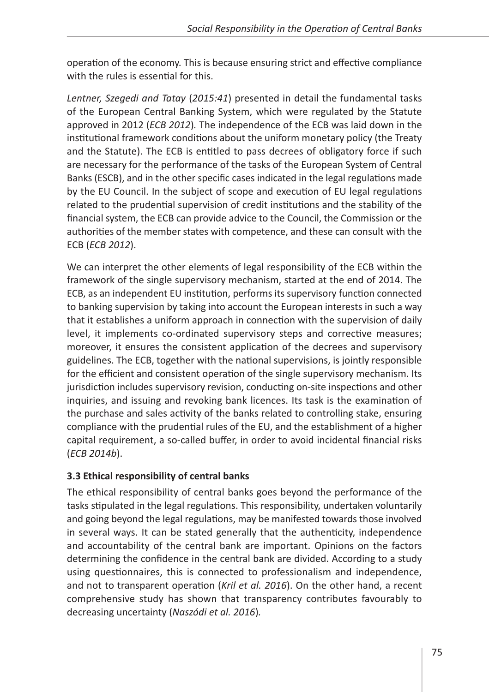operation of the economy. This is because ensuring strict and effective compliance with the rules is essential for this.

*Lentner, Szegedi and Tatay* (*2015:41*) presented in detail the fundamental tasks of the European Central Banking System, which were regulated by the Statute approved in 2012 (*ECB 2012*)*.* The independence of the ECB was laid down in the institutional framework conditions about the uniform monetary policy (the Treaty and the Statute). The ECB is entitled to pass decrees of obligatory force if such are necessary for the performance of the tasks of the European System of Central Banks (ESCB), and in the other specific cases indicated in the legal regulations made by the EU Council. In the subject of scope and execution of EU legal regulations related to the prudential supervision of credit institutions and the stability of the financial system, the ECB can provide advice to the Council, the Commission or the authorities of the member states with competence, and these can consult with the ECB (*ECB 2012*).

We can interpret the other elements of legal responsibility of the ECB within the framework of the single supervisory mechanism, started at the end of 2014. The ECB, as an independent EU institution, performs its supervisory function connected to banking supervision by taking into account the European interests in such a way that it establishes a uniform approach in connection with the supervision of daily level, it implements co-ordinated supervisory steps and corrective measures; moreover, it ensures the consistent application of the decrees and supervisory guidelines. The ECB, together with the national supervisions, is jointly responsible for the efficient and consistent operation of the single supervisory mechanism. Its jurisdiction includes supervisory revision, conducting on-site inspections and other inquiries, and issuing and revoking bank licences. Its task is the examination of the purchase and sales activity of the banks related to controlling stake, ensuring compliance with the prudential rules of the EU, and the establishment of a higher capital requirement, a so-called buffer, in order to avoid incidental financial risks (*ECB 2014b*).

## **3.3 Ethical responsibility of central banks**

The ethical responsibility of central banks goes beyond the performance of the tasks stipulated in the legal regulations. This responsibility, undertaken voluntarily and going beyond the legal regulations, may be manifested towards those involved in several ways. It can be stated generally that the authenticity, independence and accountability of the central bank are important. Opinions on the factors determining the confidence in the central bank are divided. According to a study using questionnaires, this is connected to professionalism and independence, and not to transparent operation (*Kril et al. 2016*). On the other hand, a recent comprehensive study has shown that transparency contributes favourably to decreasing uncertainty (*Naszódi et al. 2016*)*.*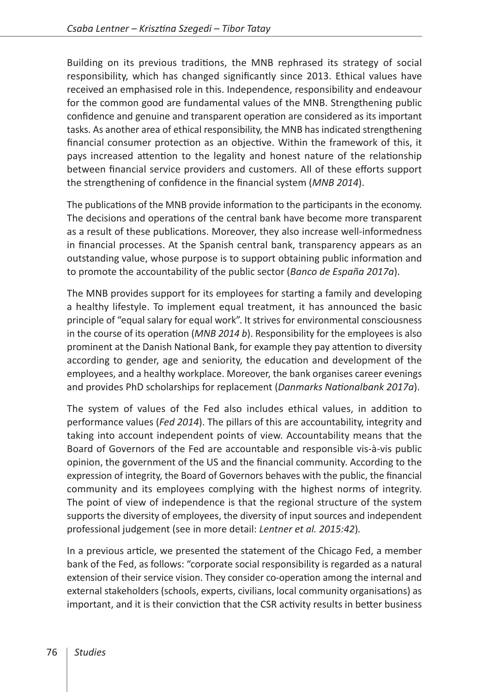Building on its previous traditions, the MNB rephrased its strategy of social responsibility, which has changed significantly since 2013. Ethical values have received an emphasised role in this. Independence, responsibility and endeavour for the common good are fundamental values of the MNB. Strengthening public confidence and genuine and transparent operation are considered as its important tasks. As another area of ethical responsibility, the MNB has indicated strengthening financial consumer protection as an objective. Within the framework of this, it pays increased attention to the legality and honest nature of the relationship between financial service providers and customers. All of these efforts support the strengthening of confidence in the financial system (*MNB 2014*).

The publications of the MNB provide information to the participants in the economy. The decisions and operations of the central bank have become more transparent as a result of these publications. Moreover, they also increase well-informedness in financial processes. At the Spanish central bank, transparency appears as an outstanding value, whose purpose is to support obtaining public information and to promote the accountability of the public sector (*Banco de España 2017a*).

The MNB provides support for its employees for starting a family and developing a healthy lifestyle. To implement equal treatment, it has announced the basic principle of "equal salary for equal work". It strives for environmental consciousness in the course of its operation (*MNB 2014 b*). Responsibility for the employees is also prominent at the Danish National Bank, for example they pay attention to diversity according to gender, age and seniority, the education and development of the employees, and a healthy workplace. Moreover, the bank organises career evenings and provides PhD scholarships for replacement (*Danmarks Nationalbank 2017a*).

The system of values of the Fed also includes ethical values, in addition to performance values (*Fed 2014*). The pillars of this are accountability, integrity and taking into account independent points of view. Accountability means that the Board of Governors of the Fed are accountable and responsible vis-à-vis public opinion, the government of the US and the financial community. According to the expression of integrity, the Board of Governors behaves with the public, the financial community and its employees complying with the highest norms of integrity. The point of view of independence is that the regional structure of the system supports the diversity of employees, the diversity of input sources and independent professional judgement (see in more detail: *Lentner et al. 2015:42*)*.*

In a previous article, we presented the statement of the Chicago Fed, a member bank of the Fed, as follows: "corporate social responsibility is regarded as a natural extension of their service vision. They consider co-operation among the internal and external stakeholders (schools, experts, civilians, local community organisations) as important, and it is their conviction that the CSR activity results in better business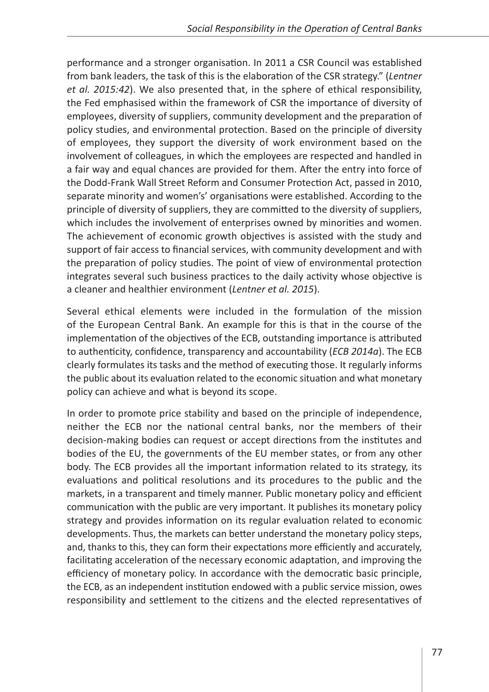performance and a stronger organisation. In 2011 a CSR Council was established from bank leaders, the task of this is the elaboration of the CSR strategy." (*Lentner et al. 2015:42*). We also presented that, in the sphere of ethical responsibility, the Fed emphasised within the framework of CSR the importance of diversity of employees, diversity of suppliers, community development and the preparation of policy studies, and environmental protection. Based on the principle of diversity of employees, they support the diversity of work environment based on the involvement of colleagues, in which the employees are respected and handled in a fair way and equal chances are provided for them. After the entry into force of the Dodd-Frank Wall Street Reform and Consumer Protection Act, passed in 2010, separate minority and women's' organisations were established. According to the principle of diversity of suppliers, they are committed to the diversity of suppliers, which includes the involvement of enterprises owned by minorities and women. The achievement of economic growth objectives is assisted with the study and support of fair access to financial services, with community development and with the preparation of policy studies. The point of view of environmental protection integrates several such business practices to the daily activity whose objective is a cleaner and healthier environment (*Lentner et al. 2015*).

Several ethical elements were included in the formulation of the mission of the European Central Bank. An example for this is that in the course of the implementation of the objectives of the ECB, outstanding importance is attributed to authenticity, confidence, transparency and accountability (*ECB 2014a*). The ECB clearly formulates its tasks and the method of executing those. It regularly informs the public about its evaluation related to the economic situation and what monetary policy can achieve and what is beyond its scope.

In order to promote price stability and based on the principle of independence, neither the ECB nor the national central banks, nor the members of their decision-making bodies can request or accept directions from the institutes and bodies of the EU, the governments of the EU member states, or from any other body. The ECB provides all the important information related to its strategy, its evaluations and political resolutions and its procedures to the public and the markets, in a transparent and timely manner. Public monetary policy and efficient communication with the public are very important. It publishes its monetary policy strategy and provides information on its regular evaluation related to economic developments. Thus, the markets can better understand the monetary policy steps, and, thanks to this, they can form their expectations more efficiently and accurately, facilitating acceleration of the necessary economic adaptation, and improving the efficiency of monetary policy. In accordance with the democratic basic principle, the ECB, as an independent institution endowed with a public service mission, owes responsibility and settlement to the citizens and the elected representatives of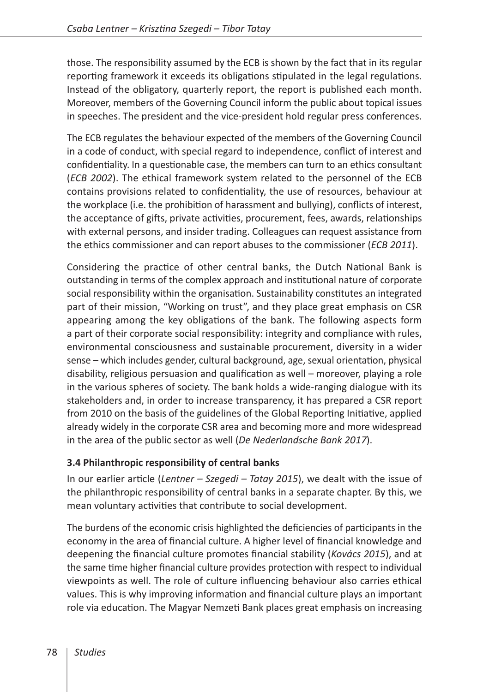those. The responsibility assumed by the ECB is shown by the fact that in its regular reporting framework it exceeds its obligations stipulated in the legal regulations. Instead of the obligatory, quarterly report, the report is published each month. Moreover, members of the Governing Council inform the public about topical issues in speeches. The president and the vice-president hold regular press conferences.

The ECB regulates the behaviour expected of the members of the Governing Council in a code of conduct, with special regard to independence, conflict of interest and confidentiality. In a questionable case, the members can turn to an ethics consultant (*ECB 2002*). The ethical framework system related to the personnel of the ECB contains provisions related to confidentiality, the use of resources, behaviour at the workplace (i.e. the prohibition of harassment and bullying), conflicts of interest, the acceptance of gifts, private activities, procurement, fees, awards, relationships with external persons, and insider trading. Colleagues can request assistance from the ethics commissioner and can report abuses to the commissioner (*ECB 2011*).

Considering the practice of other central banks, the Dutch National Bank is outstanding in terms of the complex approach and institutional nature of corporate social responsibility within the organisation. Sustainability constitutes an integrated part of their mission, "Working on trust", and they place great emphasis on CSR appearing among the key obligations of the bank. The following aspects form a part of their corporate social responsibility: integrity and compliance with rules, environmental consciousness and sustainable procurement, diversity in a wider sense – which includes gender, cultural background, age, sexual orientation, physical disability, religious persuasion and qualification as well – moreover, playing a role in the various spheres of society. The bank holds a wide-ranging dialogue with its stakeholders and, in order to increase transparency, it has prepared a CSR report from 2010 on the basis of the guidelines of the Global Reporting Initiative, applied already widely in the corporate CSR area and becoming more and more widespread in the area of the public sector as well (*De Nederlandsche Bank 2017*).

#### **3.4 Philanthropic responsibility of central banks**

In our earlier article (*Lentner – Szegedi – Tatay 2015*), we dealt with the issue of the philanthropic responsibility of central banks in a separate chapter. By this, we mean voluntary activities that contribute to social development.

The burdens of the economic crisis highlighted the deficiencies of participants in the economy in the area of financial culture. A higher level of financial knowledge and deepening the financial culture promotes financial stability (*Kovács 2015*), and at the same time higher financial culture provides protection with respect to individual viewpoints as well. The role of culture influencing behaviour also carries ethical values. This is why improving information and financial culture plays an important role via education. The Magyar Nemzeti Bank places great emphasis on increasing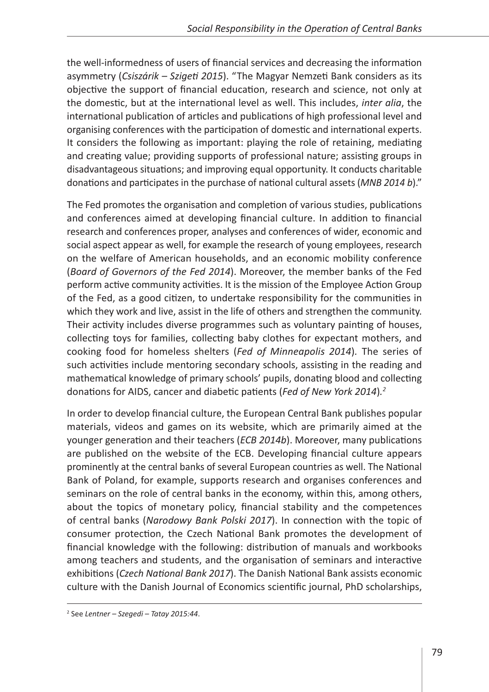the well-informedness of users of financial services and decreasing the information asymmetry (*Csiszárik – Szigeti 2015*). "The Magyar Nemzeti Bank considers as its objective the support of financial education, research and science, not only at the domestic, but at the international level as well. This includes, *inter alia*, the international publication of articles and publications of high professional level and organising conferences with the participation of domestic and international experts. It considers the following as important: playing the role of retaining, mediating and creating value; providing supports of professional nature; assisting groups in disadvantageous situations; and improving equal opportunity. It conducts charitable donations and participates in the purchase of national cultural assets (*MNB 2014 b*)."

The Fed promotes the organisation and completion of various studies, publications and conferences aimed at developing financial culture. In addition to financial research and conferences proper, analyses and conferences of wider, economic and social aspect appear as well, for example the research of young employees, research on the welfare of American households, and an economic mobility conference (*Board of Governors of the Fed 2014*). Moreover, the member banks of the Fed perform active community activities. It is the mission of the Employee Action Group of the Fed, as a good citizen, to undertake responsibility for the communities in which they work and live, assist in the life of others and strengthen the community. Their activity includes diverse programmes such as voluntary painting of houses, collecting toys for families, collecting baby clothes for expectant mothers, and cooking food for homeless shelters (*Fed of Minneapolis 2014*)*.* The series of such activities include mentoring secondary schools, assisting in the reading and mathematical knowledge of primary schools' pupils, donating blood and collecting donations for AIDS, cancer and diabetic patients (*Fed of New York 2014*)*. 2*

In order to develop financial culture, the European Central Bank publishes popular materials, videos and games on its website, which are primarily aimed at the younger generation and their teachers (*ECB 2014b*). Moreover, many publications are published on the website of the ECB. Developing financial culture appears prominently at the central banks of several European countries as well. The National Bank of Poland, for example, supports research and organises conferences and seminars on the role of central banks in the economy, within this, among others, about the topics of monetary policy, financial stability and the competences of central banks (*Narodowy Bank Polski 2017*). In connection with the topic of consumer protection, the Czech National Bank promotes the development of financial knowledge with the following: distribution of manuals and workbooks among teachers and students, and the organisation of seminars and interactive exhibitions (*Czech National Bank 2017*). The Danish National Bank assists economic culture with the Danish Journal of Economics scientific journal, PhD scholarships,

<sup>2</sup> See *Lentner – Szegedi – Tatay 2015:44*.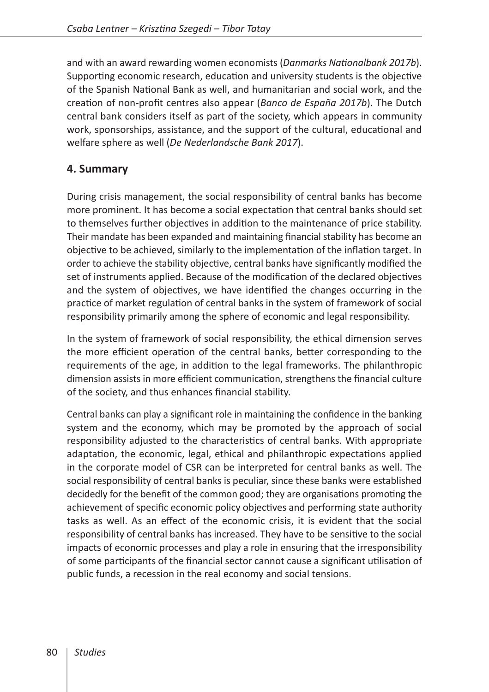and with an award rewarding women economists (*Danmarks Nationalbank 2017b*). Supporting economic research, education and university students is the objective of the Spanish National Bank as well, and humanitarian and social work, and the creation of non-profit centres also appear (*Banco de España 2017b*). The Dutch central bank considers itself as part of the society, which appears in community work, sponsorships, assistance, and the support of the cultural, educational and welfare sphere as well (*De Nederlandsche Bank 2017*).

## **4. Summary**

During crisis management, the social responsibility of central banks has become more prominent. It has become a social expectation that central banks should set to themselves further objectives in addition to the maintenance of price stability. Their mandate has been expanded and maintaining financial stability has become an objective to be achieved, similarly to the implementation of the inflation target. In order to achieve the stability objective, central banks have significantly modified the set of instruments applied. Because of the modification of the declared objectives and the system of objectives, we have identified the changes occurring in the practice of market regulation of central banks in the system of framework of social responsibility primarily among the sphere of economic and legal responsibility.

In the system of framework of social responsibility, the ethical dimension serves the more efficient operation of the central banks, better corresponding to the requirements of the age, in addition to the legal frameworks. The philanthropic dimension assists in more efficient communication, strengthens the financial culture of the society, and thus enhances financial stability.

Central banks can play a significant role in maintaining the confidence in the banking system and the economy, which may be promoted by the approach of social responsibility adjusted to the characteristics of central banks. With appropriate adaptation, the economic, legal, ethical and philanthropic expectations applied in the corporate model of CSR can be interpreted for central banks as well. The social responsibility of central banks is peculiar, since these banks were established decidedly for the benefit of the common good; they are organisations promoting the achievement of specific economic policy objectives and performing state authority tasks as well. As an effect of the economic crisis, it is evident that the social responsibility of central banks has increased. They have to be sensitive to the social impacts of economic processes and play a role in ensuring that the irresponsibility of some participants of the financial sector cannot cause a significant utilisation of public funds, a recession in the real economy and social tensions.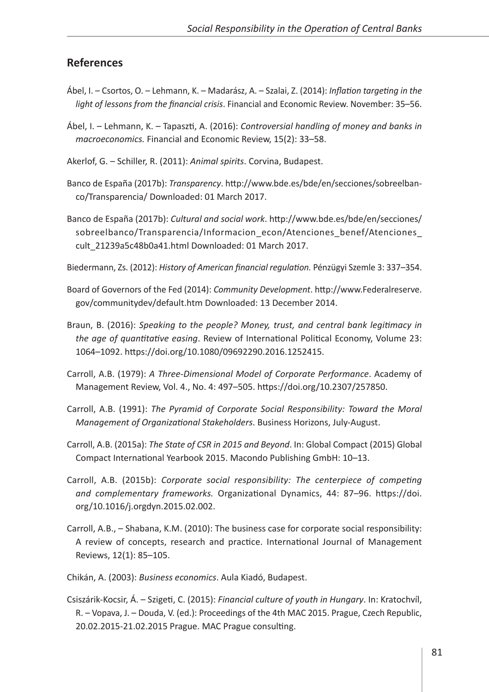#### **References**

- Ábel, I. Csortos, O. Lehmann, K. Madarász, A. Szalai, Z. (2014): *Inflation targeting in the light of lessons from the financial crisis*. Financial and Economic Review. November: 35–56.
- Ábel, I. Lehmann, K. Tapaszti, A. (2016): *Controversial handling of money and banks in macroeconomics.* Financial and Economic Review, 15(2): 33–58.
- Akerlof, G. Schiller, R. (2011): *Animal spirits*. Corvina, Budapest.
- Banco de España (2017b): *Transparency*. [http://www.bde.es/bde/en/secciones/sobreelban](http://www.bde.es/bde/en/secciones/sobreelbanco/Transparencia/)[co/Transparencia/](http://www.bde.es/bde/en/secciones/sobreelbanco/Transparencia/) Downloaded: 01 March 2017.
- Banco de España (2017b): *Cultural and social work*. [http://www.bde.es/bde/en/secciones/](http://www.bde.es/bde/en/secciones/sobreelbanco/Transparencia/Informacion_econ/Atenciones_benef/Atenciones_cult_21239a5c48b0a41.html) [sobreelbanco/Transparencia/Informacion\\_econ/Atenciones\\_benef/Atenciones\\_](http://www.bde.es/bde/en/secciones/sobreelbanco/Transparencia/Informacion_econ/Atenciones_benef/Atenciones_cult_21239a5c48b0a41.html) [cult\\_21239a5c48b0a41.html](http://www.bde.es/bde/en/secciones/sobreelbanco/Transparencia/Informacion_econ/Atenciones_benef/Atenciones_cult_21239a5c48b0a41.html) Downloaded: 01 March 2017.
- Biedermann, Zs. (2012): *History of American financial regulation.* Pénzügyi Szemle 3: 337–354.
- Board of Governors of the Fed (2014): *Community Development*. [http://www.Federalreserve.](http://www.federalreserve.gov/communitydev/default.htm) [gov/communitydev/default.htm](http://www.federalreserve.gov/communitydev/default.htm) Downloaded: 13 December 2014.
- Braun, B. (2016): *Speaking to the people? Money, trust, and central bank legitimacy in the age of quantitative easing*. Review of International Political Economy, Volume 23: 1064–1092.<https://doi.org/10.1080/09692290.2016.1252415>.
- Carroll, A.B. (1979): *A Three-Dimensional Model of Corporate Performance*. Academy of Management Review, Vol. 4., No. 4: 497–505. <https://doi.org/10.2307/257850>.
- Carroll, A.B. (1991): *The Pyramid of Corporate Social Responsibility: Toward the Moral Management of Organizational Stakeholders*. Business Horizons, July-August.
- Carroll, A.B. (2015a): *The State of CSR in 2015 and Beyond*. In: Global Compact (2015) Global Compact International Yearbook 2015. Macondo Publishing GmbH: 10–13.
- Carroll, A.B. (2015b): *Corporate social responsibility: The centerpiece of competing and complementary frameworks.* Organizational Dynamics, 44: 87–96. [https://doi.](https://doi.org/10.1016/j.orgdyn.2015.02.002) [org/10.1016/j.orgdyn.2015.02.002](https://doi.org/10.1016/j.orgdyn.2015.02.002).
- Carroll, A.B., Shabana, K.M. (2010): The business case for corporate social responsibility: A review of concepts, research and practice. International Journal of Management Reviews, 12(1): 85–105.
- Chikán, A. (2003): *Business economics*. Aula Kiadó, Budapest.
- Csiszárik-Kocsir, Á. Szigeti, C. (2015): *Financial culture of youth in Hungary*. In: Kratochvíl, R. – Vopava, J. – Douda, V. (ed.): Proceedings of the 4th MAC 2015. Prague, Czech Republic, 20.02.2015-21.02.2015 Prague. MAC Prague consulting.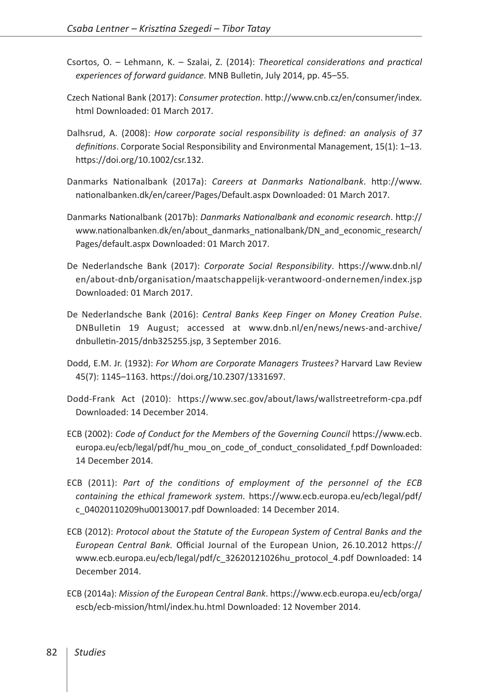- Csortos, O. Lehmann, K. Szalai, Z. (2014): *Theoretical considerations and practical experiences of forward guidance.* MNB Bulletin, July 2014, pp. 45–55.
- Czech National Bank (2017): *Consumer protection*. [http://www.cnb.cz/en/consumer/index.](http://www.cnb.cz/en/consumer/index.html) [html](http://www.cnb.cz/en/consumer/index.html) Downloaded: 01 March 2017.
- Dalhsrud, A. (2008): *How corporate social responsibility is defined: an analysis of 37 definitions*. Corporate Social Responsibility and Environmental Management, 15(1): 1–13. <https://doi.org/10.1002/csr.132>.
- Danmarks Nationalbank (2017a): *Careers at Danmarks Nationalbank*. [http://www.](http://www.nationalbanken.dk/en/career/Pages/Default.aspx) [nationalbanken.dk/en/career/Pages/Default.aspx](http://www.nationalbanken.dk/en/career/Pages/Default.aspx) Downloaded: 01 March 2017.
- Danmarks Nationalbank (2017b): *Danmarks Nationalbank and economic research*. [http://](http://www.nationalbanken.dk/en/about_danmarks_nationalbank/DN_and_economic_research/Pages/default.aspx) [www.nationalbanken.dk/en/about\\_danmarks\\_nationalbank/DN\\_and\\_economic\\_research/](http://www.nationalbanken.dk/en/about_danmarks_nationalbank/DN_and_economic_research/Pages/default.aspx) [Pages/default.aspx](http://www.nationalbanken.dk/en/about_danmarks_nationalbank/DN_and_economic_research/Pages/default.aspx) Downloaded: 01 March 2017.
- De Nederlandsche Bank (2017): *Corporate Social Responsibility*. [https://www.dnb.nl/](https://www.dnb.nl/en/about-dnb/organisation/maatschappelijk-verantwoord-ondernemen/index.jsp) [en/about-dnb/organisation/maatschappelijk-verantwoord-ondernemen/index.jsp](https://www.dnb.nl/en/about-dnb/organisation/maatschappelijk-verantwoord-ondernemen/index.jsp) Downloaded: 01 March 2017.
- De Nederlandsche Bank (2016): *Central Banks Keep Finger on Money Creation Pulse*. DNBulletin 19 August; accessed at [www.dnb.nl/en/news/news-and-archive/](http://www.dnb.nl/en/news/news-and-archive/dnbulletin-2015/dnb325255.jsp) [dnbulletin-2015/dnb325255.jsp](http://www.dnb.nl/en/news/news-and-archive/dnbulletin-2015/dnb325255.jsp), 3 September 2016.
- Dodd, E.M. Jr. (1932): *For Whom are Corporate Managers Trustees?* Harvard Law Review 45(7): 1145–1163. [https://doi.org/10.2307/1331697.](https://doi.org/10.2307/1331697)
- Dodd-Frank Act (2010): <https://www.sec.gov/about/laws/wallstreetreform-cpa.pdf> Downloaded: 14 December 2014.
- ECB (2002): *Code of Conduct for the Members of the Governing Council* [https://www.ecb.](https://www.ecb.europa.eu/ecb/legal/pdf/hu_mou_on_code_of_conduct_consolidated_f.pdf) [europa.eu/ecb/legal/pdf/hu\\_mou\\_on\\_code\\_of\\_conduct\\_consolidated\\_f.pdf](https://www.ecb.europa.eu/ecb/legal/pdf/hu_mou_on_code_of_conduct_consolidated_f.pdf) Downloaded: 14 December 2014.
- ECB (2011): *Part of the conditions of employment of the personnel of the ECB containing the ethical framework system.* [https://www.ecb.europa.eu/ecb/legal/pdf/](https://www.ecb.europa.eu/ecb/legal/pdf/c_04020110209hu00130017.pdf) [c\\_04020110209hu00130017.pdf](https://www.ecb.europa.eu/ecb/legal/pdf/c_04020110209hu00130017.pdf) Downloaded: 14 December 2014.
- ECB (2012): *Protocol about the Statute of the European System of Central Banks and the European Central Bank.* Official Journal of the European Union, 26.10.2012 [https://](https://www.ecb.europa.eu/ecb/legal/pdf/c_32620121026hu_protocol_4.pdf) [www.ecb.europa.eu/ecb/legal/pdf/c\\_32620121026hu\\_protocol\\_4.pdf](https://www.ecb.europa.eu/ecb/legal/pdf/c_32620121026hu_protocol_4.pdf) Downloaded: 14 December 2014.
- ECB (2014a): *Mission of the European Central Bank*. [https://www.ecb.europa.eu/ecb/orga/](https://www.ecb.europa.eu/ecb/orga/escb/ecb-mission/html/index.hu.html) [escb/ecb-mission/html/index.hu.html](https://www.ecb.europa.eu/ecb/orga/escb/ecb-mission/html/index.hu.html) Downloaded: 12 November 2014.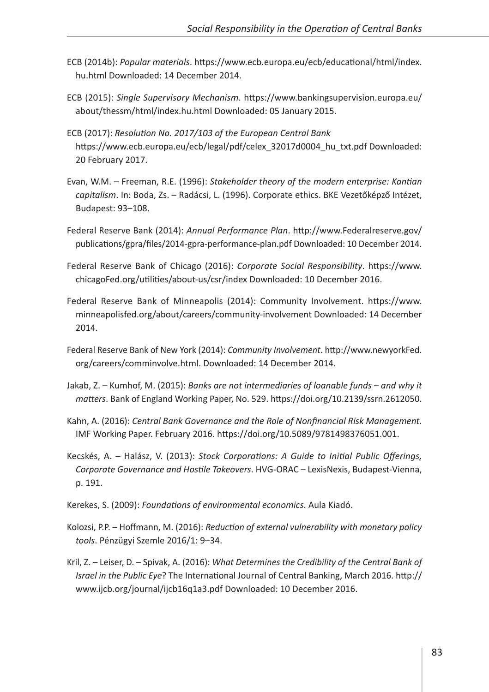- ECB (2014b): *Popular materials*. [https://www.ecb.europa.eu/ecb/educational/html/index.](https://www.ecb.europa.eu/ecb/educational/html/index.hu.html) [hu.html](https://www.ecb.europa.eu/ecb/educational/html/index.hu.html) Downloaded: 14 December 2014.
- ECB (2015): *Single Supervisory Mechanism*. [https://www.bankingsupervision.europa.eu/](https://www.bankingsupervision.europa.eu/about/thessm/html/index.hu.html) [about/thessm/html/index.hu.html](https://www.bankingsupervision.europa.eu/about/thessm/html/index.hu.html) Downloaded: 05 January 2015.
- ECB (2017): *Resolution No. 2017/103 of the European Central Bank* [https://www.ecb.europa.eu/ecb/legal/pdf/celex\\_32017d0004\\_hu\\_txt.pdf](https://www.ecb.europa.eu/ecb/legal/pdf/celex_32017d0004_hu_txt.pdf) Downloaded: 20 February 2017.
- Evan, W.M. Freeman, R.E. (1996): *Stakeholder theory of the modern enterprise: Kantian capitalism*. In: Boda, Zs. – Radácsi, L. (1996). Corporate ethics. BKE Vezetőképző Intézet, Budapest: 93–108.
- Federal Reserve Bank (2014): *Annual Performance Plan*. [http://www.Federalreserve.gov/](http://www.federalreserve.gov/publications/gpra/files/2014-gpra-performance-plan.pdf) [publications/gpra/files/2014-gpra-performance-plan.pdf](http://www.federalreserve.gov/publications/gpra/files/2014-gpra-performance-plan.pdf) Downloaded: 10 December 2014.
- Federal Reserve Bank of Chicago (2016): *Corporate Social Responsibility*. [https://www.](https://www.chicagoFed.org/utilities/about-us/csr/index) [chicagoFed.org/utilities/about-us/csr/index](https://www.chicagoFed.org/utilities/about-us/csr/index) Downloaded: 10 December 2016.
- Federal Reserve Bank of Minneapolis (2014): Community Involvement. [https://www.](https://www.minneapolisfed.org/about/careers/community-involvement) [minneapolisfed.org/about/careers/community-involvement](https://www.minneapolisfed.org/about/careers/community-involvement) Downloaded: 14 December 2014.
- Federal Reserve Bank of New York (2014): *Community Involvement*. [http://www.newyorkFed.](http://www.newyorkfed.org/careers/comminvolve.html) [org/careers/comminvolve.html](http://www.newyorkfed.org/careers/comminvolve.html). Downloaded: 14 December 2014.
- Jakab, Z. Kumhof, M. (2015): *Banks are not intermediaries of loanable funds and why it matters*. Bank of England Working Paper, No. 529. [https://doi.org/10.2139/ssrn.2612050.](https://doi.org/10.2139/ssrn.2612050)
- Kahn, A. (2016): *Central Bank Governance and the Role of Nonfinancial Risk Management.*  IMF Working Paper. February 2016. [https://doi.org/10.5089/9781498376051.001.](https://doi.org/10.5089/9781498376051.001)
- Kecskés, A. Halász, V. (2013): *Stock Corporations: A Guide to Initial Public Offerings, Corporate Governance and Hostile Takeovers*. HVG-ORAC – LexisNexis, Budapest-Vienna, p. 191.
- Kerekes, S. (2009): *Foundations of environmental economics*. Aula Kiadó.
- Kolozsi, P.P. Hoffmann, M. (2016): *Reduction of external vulnerability with monetary policy tools*. Pénzügyi Szemle 2016/1: 9–34.
- Kril, Z. Leiser, D. Spivak, A. (2016): *What Determines the Credibility of the Central Bank of Israel in the Public Eye*? The International Journal of Central Banking, March 2016. [http://](http://www.ijcb.org/journal/ijcb16q1a3.pdf) [www.ijcb.org/journal/ijcb16q1a3.pdf](http://www.ijcb.org/journal/ijcb16q1a3.pdf) Downloaded: 10 December 2016.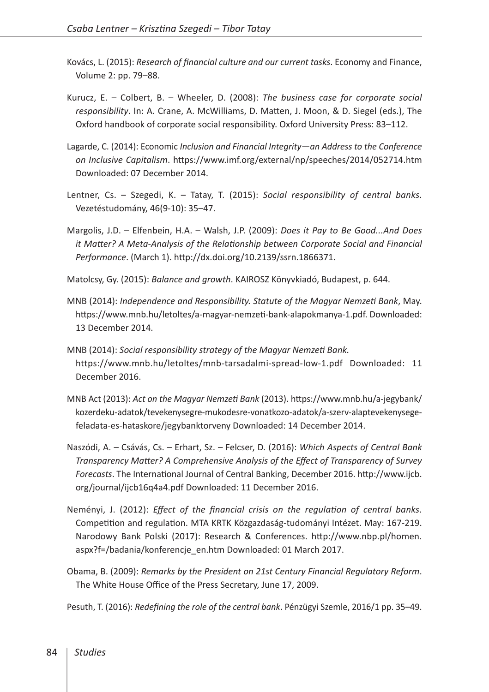- Kovács, L. (2015): *Research of financial culture and our current tasks*. Economy and Finance, Volume 2: pp. 79–88.
- Kurucz, E. Colbert, B. Wheeler, D. (2008): *The business case for corporate social responsibility*. In: A. Crane, A. McWilliams, D. Matten, J. Moon, & D. Siegel (eds.), The Oxford handbook of corporate social responsibility. Oxford University Press: 83–112.
- Lagarde, C. (2014): Economic *Inclusion and Financial Integrity—an Address to the Conference on Inclusive Capitalism*. <https://www.imf.org/external/np/speeches/2014/052714.htm> Downloaded: 07 December 2014.
- Lentner, Cs. Szegedi, K. Tatay, T. (2015): *Social responsibility of central banks*. Vezetéstudomány, 46(9-10): 35–47.
- Margolis, J.D. Elfenbein, H.A. Walsh, J.P. (2009): *Does it Pay to Be Good...And Does it Matter? A Meta-Analysis of the Relationship between Corporate Social and Financial Performance*. (March 1). [http://dx.doi.org/10.2139/ssrn.1866371.](http://dx.doi.org/10.2139/ssrn.1866371)

Matolcsy, Gy. (2015): *Balance and growth*. KAIROSZ Könyvkiadó, Budapest, p. 644.

- MNB (2014): *Independence and Responsibility. Statute of the Magyar Nemzeti Bank*, May. [https://www.mnb.hu/letoltes/a-magyar-nemzeti-bank-alapokmanya-1.pdf.](https://www.mnb.hu/letoltes/a-magyar-nemzeti-bank-alapokmanya-1.pdf) Downloaded: 13 December 2014.
- MNB (2014): *Social responsibility strategy of the Magyar Nemzeti Bank.* <https://www.mnb.hu/letoltes/mnb-tarsadalmi-spread-low-1.pdf>Downloaded: 11 December 2016.
- MNB Act (2013): *Act on the Magyar Nemzeti Bank* (2013). [https://www.mnb.hu/a-jegybank/](https://www.mnb.hu/a-jegybank/kozerdeku-adatok/tevekenysegre-mukodesre-vonatkozo-adatok/a-szerv-alaptevekenysege-feladata-es-hataskore/jegybanktorveny) [kozerdeku-adatok/tevekenysegre-mukodesre-vonatkozo-adatok/a-szerv-alaptevekenysege](https://www.mnb.hu/a-jegybank/kozerdeku-adatok/tevekenysegre-mukodesre-vonatkozo-adatok/a-szerv-alaptevekenysege-feladata-es-hataskore/jegybanktorveny)[feladata-es-hataskore/jegybanktorveny](https://www.mnb.hu/a-jegybank/kozerdeku-adatok/tevekenysegre-mukodesre-vonatkozo-adatok/a-szerv-alaptevekenysege-feladata-es-hataskore/jegybanktorveny) Downloaded: 14 December 2014.
- Naszódi, A. Csávás, Cs. Erhart, Sz. Felcser, D. (2016): *Which Aspects of Central Bank Transparency Matter? A Comprehensive Analysis of the Effect of Transparency of Survey Forecasts*. The International Journal of Central Banking, December 2016. [http://www.ijcb.](http://www.ijcb.org/journal/ijcb16q4a4.pdf) [org/journal/ijcb16q4a4.pdf](http://www.ijcb.org/journal/ijcb16q4a4.pdf) Downloaded: 11 December 2016.
- Neményi, J. (2012): *Effect of the financial crisis on the regulation of central banks*. Competition and regulation. MTA KRTK Közgazdaság-tudományi Intézet. May: 167-219. Narodowy Bank Polski (2017): Research & Conferences. [http://www.nbp.pl/homen.](http://www.nbp.pl/homen.aspx?f=/badania/konferencje_en.htm) [aspx?f=/badania/konferencje\\_en.htm](http://www.nbp.pl/homen.aspx?f=/badania/konferencje_en.htm) Downloaded: 01 March 2017.
- Obama, B. (2009): *Remarks by the President on 21st Century Financial Regulatory Reform*. The White House Office of the Press Secretary, June 17, 2009.

Pesuth, T. (2016): *Redefining the role of the central bank*. Pénzügyi Szemle, 2016/1 pp. 35–49.